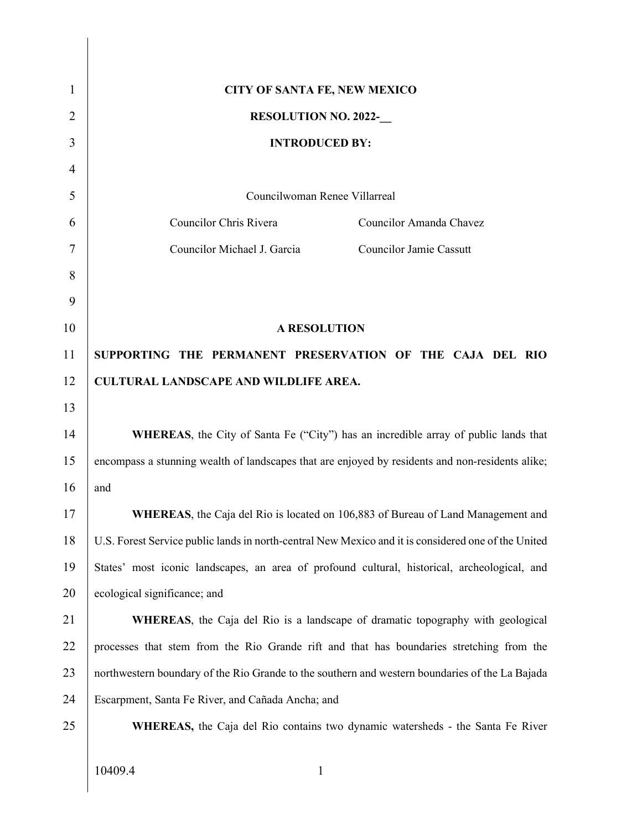| $\mathbf{1}$   | <b>CITY OF SANTA FE, NEW MEXICO</b>                                                                 |  |  |
|----------------|-----------------------------------------------------------------------------------------------------|--|--|
| 2              | <b>RESOLUTION NO. 2022-</b>                                                                         |  |  |
| 3              | <b>INTRODUCED BY:</b>                                                                               |  |  |
| $\overline{4}$ |                                                                                                     |  |  |
| 5              | Councilwoman Renee Villarreal                                                                       |  |  |
| 6              | Councilor Chris Rivera<br>Councilor Amanda Chavez                                                   |  |  |
| 7              | Councilor Michael J. Garcia<br><b>Councilor Jamie Cassutt</b>                                       |  |  |
| 8              |                                                                                                     |  |  |
| 9              |                                                                                                     |  |  |
| 10             | <b>A RESOLUTION</b>                                                                                 |  |  |
| 11             | SUPPORTING THE PERMANENT PRESERVATION OF THE CAJA DEL RIO                                           |  |  |
| 12             | <b>CULTURAL LANDSCAPE AND WILDLIFE AREA.</b>                                                        |  |  |
| 13             |                                                                                                     |  |  |
| 14             | WHEREAS, the City of Santa Fe ("City") has an incredible array of public lands that                 |  |  |
| 15             | encompass a stunning wealth of landscapes that are enjoyed by residents and non-residents alike;    |  |  |
| 16             | and                                                                                                 |  |  |
| 17             | WHEREAS, the Caja del Rio is located on 106,883 of Bureau of Land Management and                    |  |  |
| 18             | U.S. Forest Service public lands in north-central New Mexico and it is considered one of the United |  |  |
| 19             | States' most iconic landscapes, an area of profound cultural, historical, archeological, and        |  |  |
| 20             | ecological significance; and                                                                        |  |  |
| 21             | <b>WHEREAS</b> , the Caja del Rio is a landscape of dramatic topography with geological             |  |  |
| 22             | processes that stem from the Rio Grande rift and that has boundaries stretching from the            |  |  |
| 23             | northwestern boundary of the Rio Grande to the southern and western boundaries of the La Bajada     |  |  |
| 24             | Escarpment, Santa Fe River, and Cañada Ancha; and                                                   |  |  |
| 25             | <b>WHEREAS</b> , the Caja del Rio contains two dynamic watersheds - the Santa Fe River              |  |  |
|                |                                                                                                     |  |  |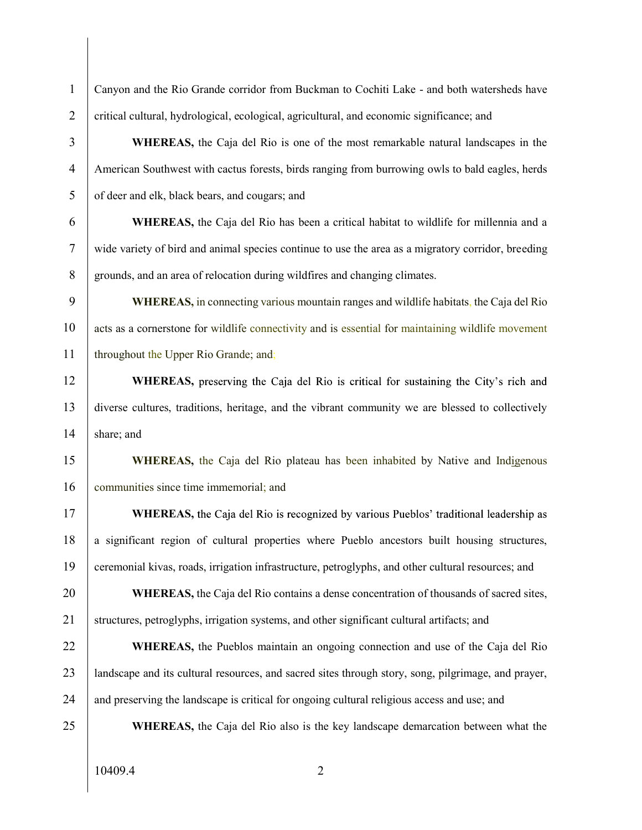1 Canyon and the Rio Grande corridor from Buckman to Cochiti Lake - and both watersheds have 2 critical cultural, hydrological, ecological, agricultural, and economic significance; and 3 WHEREAS, the Caja del Rio is one of the most remarkable natural landscapes in the 4 American Southwest with cactus forests, birds ranging from burrowing owls to bald eagles, herds 5 of deer and elk, black bears, and cougars; and 6 WHEREAS, the Caja del Rio has been a critical habitat to wildlife for millennia and a 7 wide variety of bird and animal species continue to use the area as a migratory corridor, breeding 8 grounds, and an area of relocation during wildfires and changing climates. 9 WHEREAS, in connecting various mountain ranges and wildlife habitats, the Caja del Rio 10 acts as a cornerstone for wildlife connectivity and is essential for maintaining wildlife movement 11 | throughout the Upper Rio Grande; and; 12 WHEREAS, preserving the Caja del Rio is critical for sustaining the City's rich and 13 diverse cultures, traditions, heritage, and the vibrant community we are blessed to collectively 14 share; and 15 WHEREAS, the Caja del Rio plateau has been inhabited by Native and Indigenous 16 communities since time immemorial; and 17 WHEREAS, the Caja del Rio is recognized by various Pueblos' traditional leadership as 18 a significant region of cultural properties where Pueblo ancestors built housing structures, 19 ceremonial kivas, roads, irrigation infrastructure, petroglyphs, and other cultural resources; and 20 WHEREAS, the Caja del Rio contains a dense concentration of thousands of sacred sites, 21 structures, petroglyphs, irrigation systems, and other significant cultural artifacts; and 22 WHEREAS, the Pueblos maintain an ongoing connection and use of the Caja del Rio 23 landscape and its cultural resources, and sacred sites through story, song, pilgrimage, and prayer, 24 and preserving the landscape is critical for ongoing cultural religious access and use; and 25 WHEREAS, the Caja del Rio also is the key landscape demarcation between what the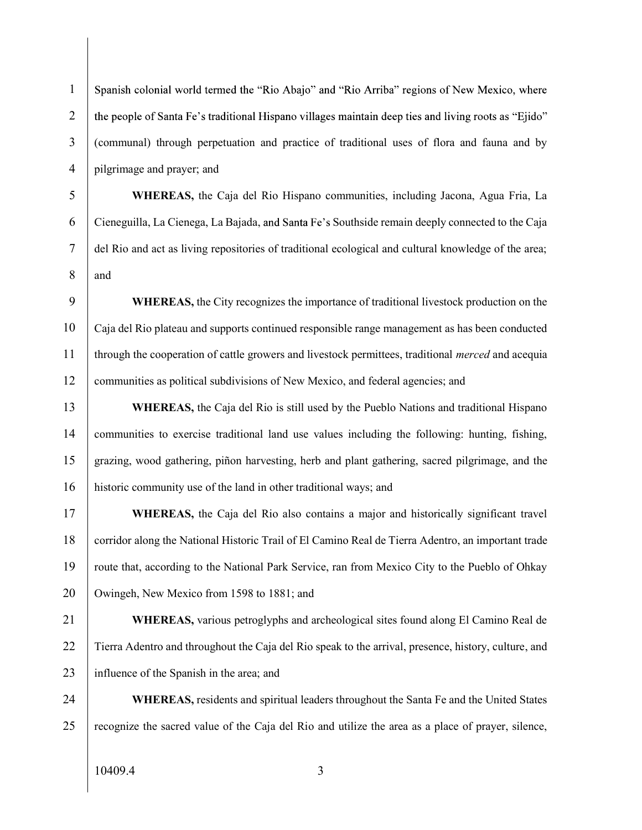1 Spanish colonial world termed the "Rio Abajo" and "Rio Arriba" regions of New Mexico, where 2 the people of Santa Fe's traditional Hispano villages maintain deep ties and living roots as "Ejido" 3 (communal) through perpetuation and practice of traditional uses of flora and fauna and by 4 pilgrimage and prayer; and

5 WHEREAS, the Caja del Rio Hispano communities, including Jacona, Agua Fria, La 6 Cieneguilla, La Cienega, La Bajada, and Santa Fe's Southside remain deeply connected to the Caja 7 del Rio and act as living repositories of traditional ecological and cultural knowledge of the area; 8 and

9 WHEREAS, the City recognizes the importance of traditional livestock production on the 10 Caja del Rio plateau and supports continued responsible range management as has been conducted 11 through the cooperation of cattle growers and livestock permittees, traditional *merced* and acequia 12 communities as political subdivisions of New Mexico, and federal agencies; and

13 WHEREAS, the Caja del Rio is still used by the Pueblo Nations and traditional Hispano 14 communities to exercise traditional land use values including the following: hunting, fishing, 15 grazing, wood gathering, piñon harvesting, herb and plant gathering, sacred pilgrimage, and the 16 historic community use of the land in other traditional ways; and

17 WHEREAS, the Caja del Rio also contains a major and historically significant travel 18 corridor along the National Historic Trail of El Camino Real de Tierra Adentro, an important trade 19 route that, according to the National Park Service, ran from Mexico City to the Pueblo of Ohkay 20 | Owingeh, New Mexico from 1598 to 1881; and

21 WHEREAS, various petroglyphs and archeological sites found along El Camino Real de 22 Tierra Adentro and throughout the Caja del Rio speak to the arrival, presence, history, culture, and 23 influence of the Spanish in the area; and

24 WHEREAS, residents and spiritual leaders throughout the Santa Fe and the United States 25 recognize the sacred value of the Caja del Rio and utilize the area as a place of prayer, silence,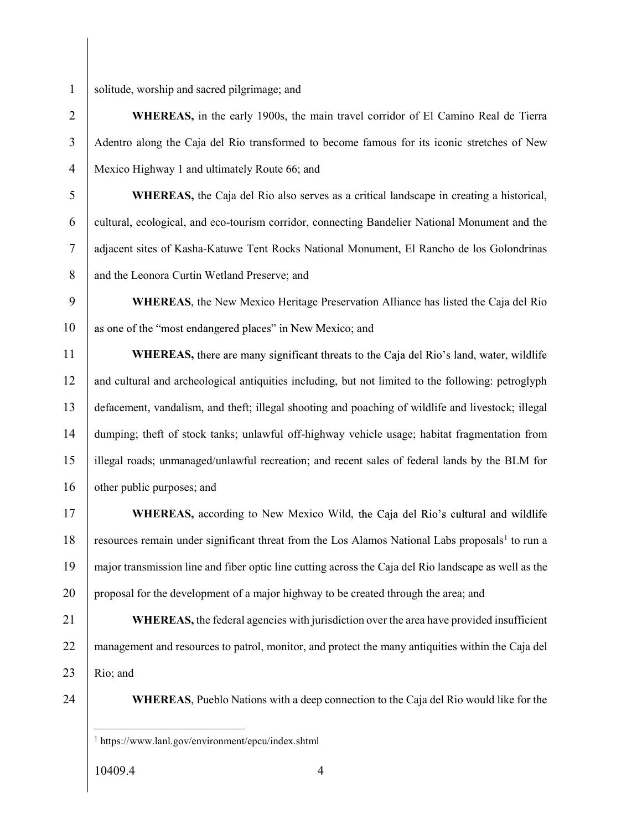1 solitude, worship and sacred pilgrimage; and

2 WHEREAS, in the early 1900s, the main travel corridor of El Camino Real de Tierra 3 Adentro along the Caja del Rio transformed to become famous for its iconic stretches of New 4 Mexico Highway 1 and ultimately Route 66; and

5 WHEREAS, the Caja del Rio also serves as a critical landscape in creating a historical, 6 cultural, ecological, and eco-tourism corridor, connecting Bandelier National Monument and the 7 adjacent sites of Kasha-Katuwe Tent Rocks National Monument, El Rancho de los Golondrinas 8 and the Leonora Curtin Wetland Preserve; and

9 WHEREAS, the New Mexico Heritage Preservation Alliance has listed the Caja del Rio 10 as one of the "most endangered places" in New Mexico; and

11 WHEREAS, there are many significant threats to the Caja del Rio's land, water, wildlife 12 and cultural and archeological antiquities including, but not limited to the following: petroglyph 13 defacement, vandalism, and theft; illegal shooting and poaching of wildlife and livestock; illegal 14 dumping; theft of stock tanks; unlawful off-highway vehicle usage; habitat fragmentation from 15 illegal roads; unmanaged/unlawful recreation; and recent sales of federal lands by the BLM for 16 other public purposes; and

17 WHEREAS, according to New Mexico Wild, the Caja del Rio's cultural and wildlife 18 resources remain under significant threat from the Los Alamos National Labs proposals<sup>1</sup> to run a 19 major transmission line and fiber optic line cutting across the Caja del Rio landscape as well as the 20 proposal for the development of a major highway to be created through the area; and

21 WHEREAS, the federal agencies with jurisdiction over the area have provided insufficient 22 management and resources to patrol, monitor, and protect the many antiquities within the Caja del 23 Rio; and

24 WHEREAS, Pueblo Nations with a deep connection to the Caja del Rio would like for the

 <sup>1</sup> https://www.lanl.gov/environment/epcu/index.shtml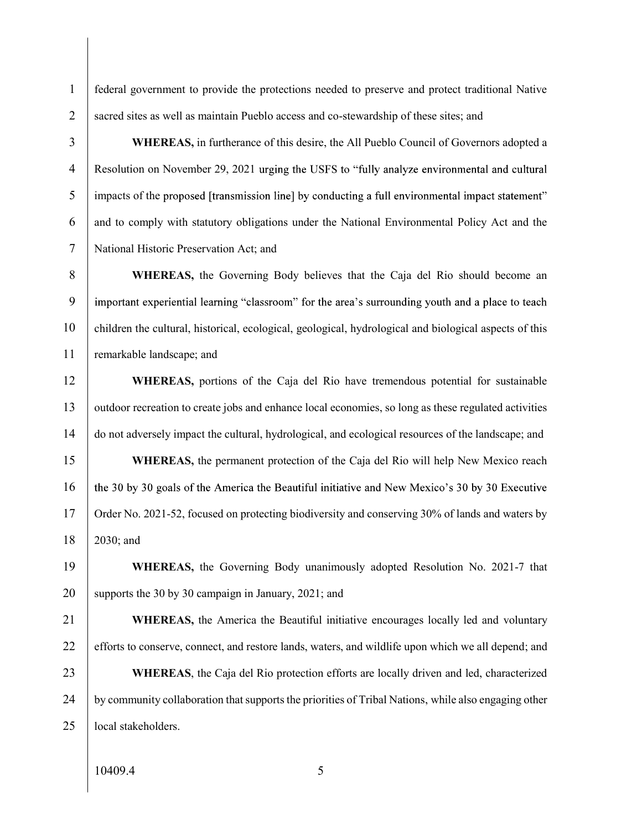1 federal government to provide the protections needed to preserve and protect traditional Native 2 sacred sites as well as maintain Pueblo access and co-stewardship of these sites; and

3 WHEREAS, in furtherance of this desire, the All Pueblo Council of Governors adopted a 4 Resolution on November 29, 2021 urging the USFS to "fully analyze environmental and cultural 5 impacts of the proposed [transmission line] by conducting a full environmental impact statement" 6 and to comply with statutory obligations under the National Environmental Policy Act and the 7 National Historic Preservation Act; and

8 WHEREAS, the Governing Body believes that the Caja del Rio should become an 9 important experiential learning "classroom" for the area's surrounding youth and a place to teach 10 children the cultural, historical, ecological, geological, hydrological and biological aspects of this 11 remarkable landscape; and

12 WHEREAS, portions of the Caja del Rio have tremendous potential for sustainable 13 outdoor recreation to create jobs and enhance local economies, so long as these regulated activities 14 do not adversely impact the cultural, hydrological, and ecological resources of the landscape; and

15 WHEREAS, the permanent protection of the Caja del Rio will help New Mexico reach 16 the 30 by 30 goals of the America the Beautiful initiative and New Mexico's 30 by 30 Executive 17 Order No. 2021-52, focused on protecting biodiversity and conserving 30% of lands and waters by 18 2030; and

19 WHEREAS, the Governing Body unanimously adopted Resolution No. 2021-7 that 20 | supports the 30 by 30 campaign in January, 2021; and

21 WHEREAS, the America the Beautiful initiative encourages locally led and voluntary 22 efforts to conserve, connect, and restore lands, waters, and wildlife upon which we all depend; and 23 WHEREAS, the Caja del Rio protection efforts are locally driven and led, characterized 24 by community collaboration that supports the priorities of Tribal Nations, while also engaging other 25 **local stakeholders**.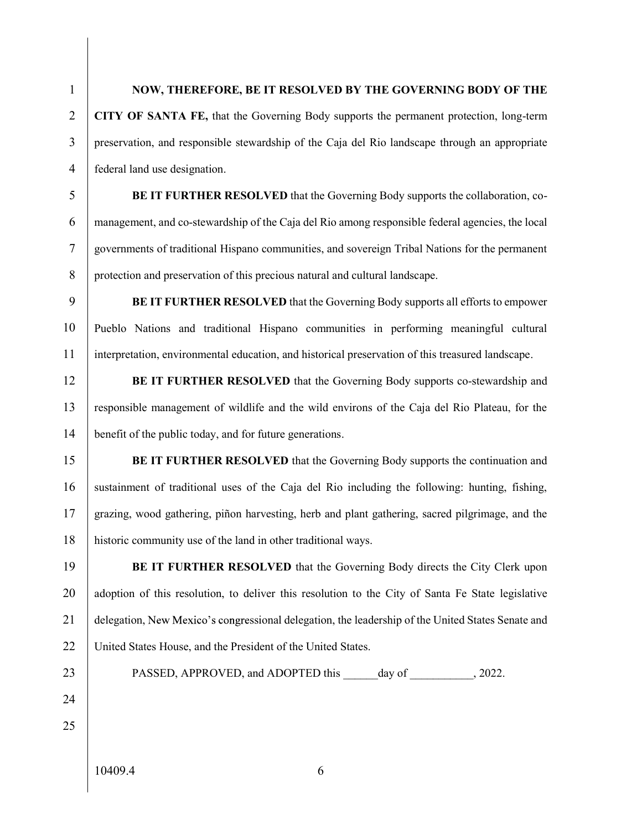## 1 NOW, THEREFORE, BE IT RESOLVED BY THE GOVERNING BODY OF THE

2 CITY OF SANTA FE, that the Governing Body supports the permanent protection, long-term 3 preservation, and responsible stewardship of the Caja del Rio landscape through an appropriate 4 federal land use designation.

5 BE IT FURTHER RESOLVED that the Governing Body supports the collaboration, co-6 management, and co-stewardship of the Caja del Rio among responsible federal agencies, the local 7 governments of traditional Hispano communities, and sovereign Tribal Nations for the permanent 8 protection and preservation of this precious natural and cultural landscape.

9 BE IT FURTHER RESOLVED that the Governing Body supports all efforts to empower 10 Pueblo Nations and traditional Hispano communities in performing meaningful cultural 11 interpretation, environmental education, and historical preservation of this treasured landscape.

12 BE IT FURTHER RESOLVED that the Governing Body supports co-stewardship and 13 responsible management of wildlife and the wild environs of the Caja del Rio Plateau, for the 14 benefit of the public today, and for future generations.

15 BE IT FURTHER RESOLVED that the Governing Body supports the continuation and 16 sustainment of traditional uses of the Caja del Rio including the following: hunting, fishing, 17 grazing, wood gathering, piñon harvesting, herb and plant gathering, sacred pilgrimage, and the 18 historic community use of the land in other traditional ways.

19 BE IT FURTHER RESOLVED that the Governing Body directs the City Clerk upon 20 adoption of this resolution, to deliver this resolution to the City of Santa Fe State legislative 21 delegation, New Mexico's congressional delegation, the leadership of the United States Senate and 22 | United States House, and the President of the United States.

- 23 PASSED, APPROVED, and ADOPTED this day of  $, 2022$ .
- 24

25